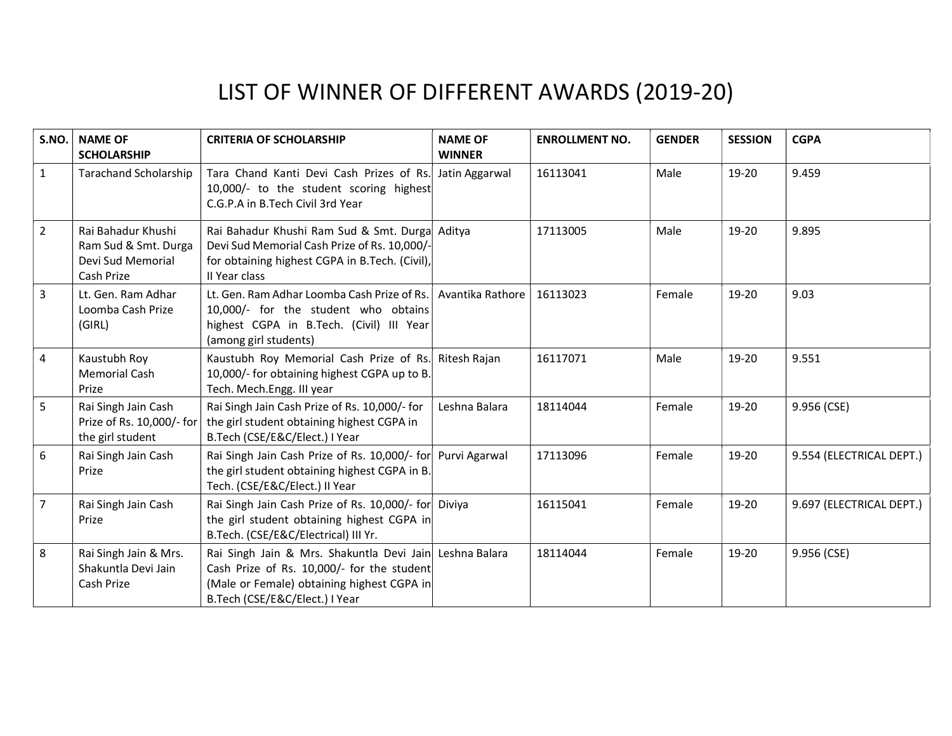| S.NO.          | <b>NAME OF</b><br><b>SCHOLARSHIP</b>                                          | <b>CRITERIA OF SCHOLARSHIP</b>                                                                                                                                                        | <b>NAME OF</b><br><b>WINNER</b> | <b>ENROLLMENT NO.</b> | <b>GENDER</b> | <b>SESSION</b> | <b>CGPA</b>              |
|----------------|-------------------------------------------------------------------------------|---------------------------------------------------------------------------------------------------------------------------------------------------------------------------------------|---------------------------------|-----------------------|---------------|----------------|--------------------------|
| $\mathbf{1}$   | <b>Tarachand Scholarship</b>                                                  | Tara Chand Kanti Devi Cash Prizes of Rs.<br>10,000/- to the student scoring highest<br>C.G.P.A in B.Tech Civil 3rd Year                                                               | Jatin Aggarwal                  | 16113041              | Male          | 19-20          | 9.459                    |
| $\overline{2}$ | Rai Bahadur Khushi<br>Ram Sud & Smt. Durga<br>Devi Sud Memorial<br>Cash Prize | Rai Bahadur Khushi Ram Sud & Smt. Durga Aditya<br>Devi Sud Memorial Cash Prize of Rs. 10,000/-<br>for obtaining highest CGPA in B.Tech. (Civil),<br>II Year class                     |                                 | 17113005              | Male          | 19-20          | 9.895                    |
| $\overline{3}$ | Lt. Gen. Ram Adhar<br>Loomba Cash Prize<br>(GIRL)                             | Lt. Gen. Ram Adhar Loomba Cash Prize of Rs.<br>10,000/- for the student who obtains<br>highest CGPA in B.Tech. (Civil) III Year<br>(among girl students)                              | Avantika Rathore                | 16113023              | Female        | 19-20          | 9.03                     |
| $\overline{4}$ | Kaustubh Roy<br><b>Memorial Cash</b><br>Prize                                 | Kaustubh Roy Memorial Cash Prize of Rs. Ritesh Rajan<br>10,000/- for obtaining highest CGPA up to B.<br>Tech. Mech. Engg. III year                                                    |                                 | 16117071              | Male          | 19-20          | 9.551                    |
| 5              | Rai Singh Jain Cash<br>Prize of Rs. 10,000/- for<br>the girl student          | Rai Singh Jain Cash Prize of Rs. 10,000/- for<br>the girl student obtaining highest CGPA in<br>B.Tech (CSE/E&C/Elect.) I Year                                                         | Leshna Balara                   | 18114044              | Female        | 19-20          | 9.956 (CSE)              |
| 6              | Rai Singh Jain Cash<br>Prize                                                  | Rai Singh Jain Cash Prize of Rs. 10,000/- for Purvi Agarwal<br>the girl student obtaining highest CGPA in B.<br>Tech. (CSE/E&C/Elect.) II Year                                        |                                 | 17113096              | Female        | 19-20          | 9.554 (ELECTRICAL DEPT.) |
| $\overline{7}$ | Rai Singh Jain Cash<br>Prize                                                  | Rai Singh Jain Cash Prize of Rs. 10,000/- for Diviya<br>the girl student obtaining highest CGPA in<br>B.Tech. (CSE/E&C/Electrical) III Yr.                                            |                                 | 16115041              | Female        | 19-20          | 9.697 (ELECTRICAL DEPT.) |
| 8              | Rai Singh Jain & Mrs.<br>Shakuntla Devi Jain<br>Cash Prize                    | Rai Singh Jain & Mrs. Shakuntla Devi Jain Leshna Balara<br>Cash Prize of Rs. 10,000/- for the student<br>(Male or Female) obtaining highest CGPA in<br>B.Tech (CSE/E&C/Elect.) I Year |                                 | 18114044              | Female        | 19-20          | 9.956 (CSE)              |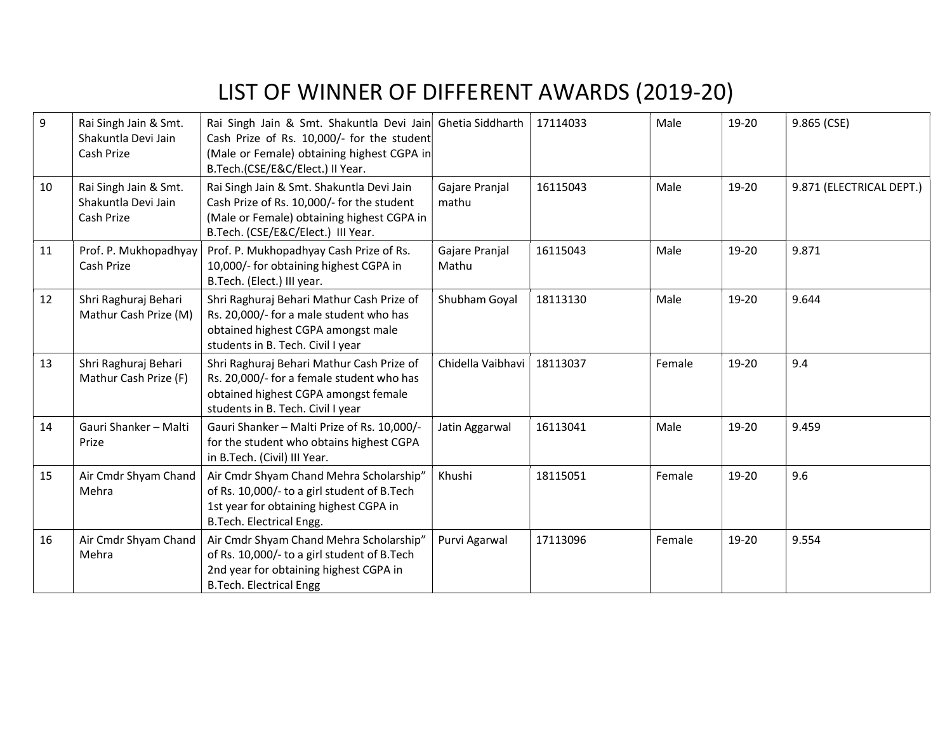| 9  | Rai Singh Jain & Smt.<br>Shakuntla Devi Jain<br>Cash Prize | Rai Singh Jain & Smt. Shakuntla Devi Jain Ghetia Siddharth<br>Cash Prize of Rs. 10,000/- for the student<br>(Male or Female) obtaining highest CGPA in<br>B.Tech.(CSE/E&C/Elect.) II Year. |                              | 17114033 | Male   | 19-20 | 9.865 (CSE)              |
|----|------------------------------------------------------------|--------------------------------------------------------------------------------------------------------------------------------------------------------------------------------------------|------------------------------|----------|--------|-------|--------------------------|
| 10 | Rai Singh Jain & Smt.<br>Shakuntla Devi Jain<br>Cash Prize | Rai Singh Jain & Smt. Shakuntla Devi Jain<br>Cash Prize of Rs. 10,000/- for the student<br>(Male or Female) obtaining highest CGPA in<br>B.Tech. (CSE/E&C/Elect.) III Year.                | Gajare Pranjal<br>mathu      | 16115043 | Male   | 19-20 | 9.871 (ELECTRICAL DEPT.) |
| 11 | Prof. P. Mukhopadhyay<br>Cash Prize                        | Prof. P. Mukhopadhyay Cash Prize of Rs.<br>10,000/- for obtaining highest CGPA in<br>B.Tech. (Elect.) III year.                                                                            | Gajare Pranjal<br>Mathu      | 16115043 | Male   | 19-20 | 9.871                    |
| 12 | Shri Raghuraj Behari<br>Mathur Cash Prize (M)              | Shri Raghuraj Behari Mathur Cash Prize of<br>Rs. 20,000/- for a male student who has<br>obtained highest CGPA amongst male<br>students in B. Tech. Civil I year                            | Shubham Goyal                | 18113130 | Male   | 19-20 | 9.644                    |
| 13 | Shri Raghuraj Behari<br>Mathur Cash Prize (F)              | Shri Raghuraj Behari Mathur Cash Prize of<br>Rs. 20,000/- for a female student who has<br>obtained highest CGPA amongst female<br>students in B. Tech. Civil I year                        | Chidella Vaibhavi   18113037 |          | Female | 19-20 | 9.4                      |
| 14 | Gauri Shanker - Malti<br>Prize                             | Gauri Shanker - Malti Prize of Rs. 10,000/-<br>for the student who obtains highest CGPA<br>in B.Tech. (Civil) III Year.                                                                    | Jatin Aggarwal               | 16113041 | Male   | 19-20 | 9.459                    |
| 15 | Air Cmdr Shyam Chand<br>Mehra                              | Air Cmdr Shyam Chand Mehra Scholarship"<br>of Rs. 10,000/- to a girl student of B.Tech<br>1st year for obtaining highest CGPA in<br>B.Tech. Electrical Engg.                               | Khushi                       | 18115051 | Female | 19-20 | 9.6                      |
| 16 | Air Cmdr Shyam Chand<br>Mehra                              | Air Cmdr Shyam Chand Mehra Scholarship"<br>of Rs. 10,000/- to a girl student of B.Tech<br>2nd year for obtaining highest CGPA in<br><b>B.Tech. Electrical Engg</b>                         | Purvi Agarwal                | 17113096 | Female | 19-20 | 9.554                    |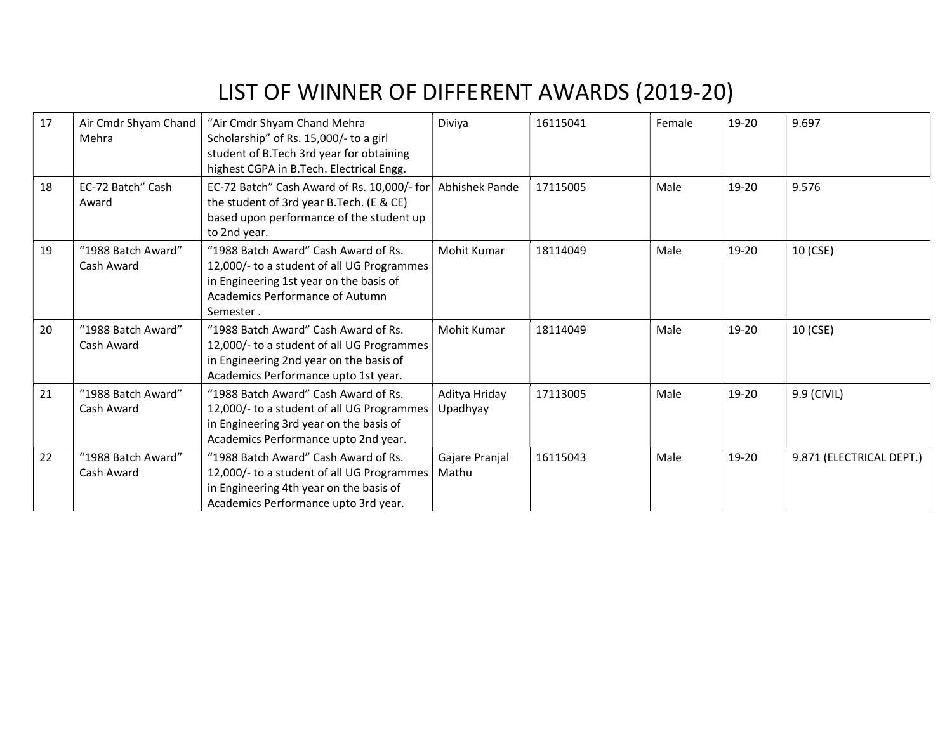| 17 | Air Cmdr Shyam Chand<br>Mehra    | "Air Cmdr Shyam Chand Mehra<br>Scholarship" of Rs. 15,000/- to a girl<br>student of B.Tech 3rd year for obtaining<br>highest CGPA in B.Tech. Electrical Engg.                 | Diviya                    | 16115041 | Female | 19-20 | 9.697                    |
|----|----------------------------------|-------------------------------------------------------------------------------------------------------------------------------------------------------------------------------|---------------------------|----------|--------|-------|--------------------------|
| 18 | EC-72 Batch" Cash<br>Award       | EC-72 Batch" Cash Award of Rs. 10,000/- for<br>the student of 3rd year B.Tech. (E & CE)<br>based upon performance of the student up<br>to 2nd year.                           | <b>Abhishek Pande</b>     | 17115005 | Male   | 19-20 | 9.576                    |
| 19 | "1988 Batch Award"<br>Cash Award | "1988 Batch Award" Cash Award of Rs.<br>12,000/- to a student of all UG Programmes<br>in Engineering 1st year on the basis of<br>Academics Performance of Autumn<br>Semester. | Mohit Kumar               | 18114049 | Male   | 19-20 | 10 (CSE)                 |
| 20 | "1988 Batch Award"<br>Cash Award | "1988 Batch Award" Cash Award of Rs.<br>12,000/- to a student of all UG Programmes<br>in Engineering 2nd year on the basis of<br>Academics Performance upto 1st year.         | Mohit Kumar               | 18114049 | Male   | 19-20 | 10 (CSE)                 |
| 21 | "1988 Batch Award"<br>Cash Award | "1988 Batch Award" Cash Award of Rs.<br>12,000/- to a student of all UG Programmes<br>in Engineering 3rd year on the basis of<br>Academics Performance upto 2nd year.         | Aditya Hriday<br>Upadhyay | 17113005 | Male   | 19-20 | 9.9 (CIVIL)              |
| 22 | "1988 Batch Award"<br>Cash Award | "1988 Batch Award" Cash Award of Rs.<br>12,000/- to a student of all UG Programmes<br>in Engineering 4th year on the basis of<br>Academics Performance upto 3rd year.         | Gajare Pranjal<br>Mathu   | 16115043 | Male   | 19-20 | 9.871 (ELECTRICAL DEPT.) |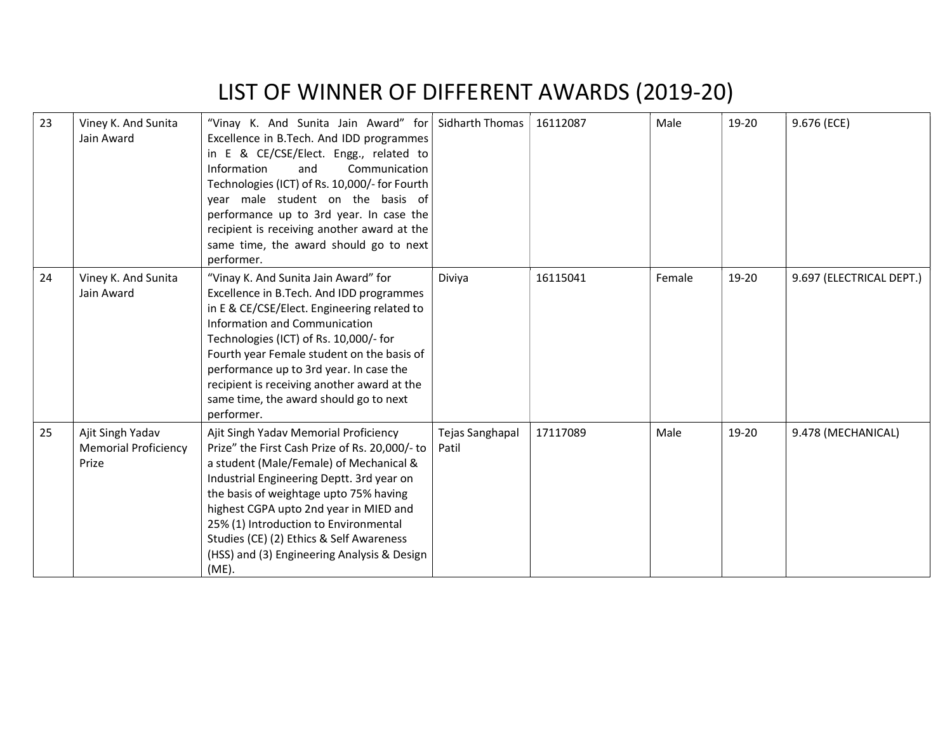| 23 | Viney K. And Sunita<br>Jain Award                        | "Vinay K. And Sunita Jain Award" for<br>Excellence in B.Tech. And IDD programmes<br>in E & CE/CSE/Elect. Engg., related to<br>Information<br>Communication<br>and<br>Technologies (ICT) of Rs. 10,000/- for Fourth<br>year male student on the basis of<br>performance up to 3rd year. In case the<br>recipient is receiving another award at the<br>same time, the award should go to next<br>performer.           | <b>Sidharth Thomas</b>   | 16112087 | Male   | 19-20 | 9.676 (ECE)              |
|----|----------------------------------------------------------|---------------------------------------------------------------------------------------------------------------------------------------------------------------------------------------------------------------------------------------------------------------------------------------------------------------------------------------------------------------------------------------------------------------------|--------------------------|----------|--------|-------|--------------------------|
| 24 | Viney K. And Sunita<br>Jain Award                        | "Vinay K. And Sunita Jain Award" for<br>Excellence in B.Tech. And IDD programmes<br>in E & CE/CSE/Elect. Engineering related to<br>Information and Communication<br>Technologies (ICT) of Rs. 10,000/- for<br>Fourth year Female student on the basis of<br>performance up to 3rd year. In case the<br>recipient is receiving another award at the<br>same time, the award should go to next<br>performer.          | Diviya                   | 16115041 | Female | 19-20 | 9.697 (ELECTRICAL DEPT.) |
| 25 | Ajit Singh Yadav<br><b>Memorial Proficiency</b><br>Prize | Ajit Singh Yadav Memorial Proficiency<br>Prize" the First Cash Prize of Rs. 20,000/- to<br>a student (Male/Female) of Mechanical &<br>Industrial Engineering Deptt. 3rd year on<br>the basis of weightage upto 75% having<br>highest CGPA upto 2nd year in MIED and<br>25% (1) Introduction to Environmental<br>Studies (CE) (2) Ethics & Self Awareness<br>(HSS) and (3) Engineering Analysis & Design<br>$(ME)$ . | Tejas Sanghapal<br>Patil | 17117089 | Male   | 19-20 | 9.478 (MECHANICAL)       |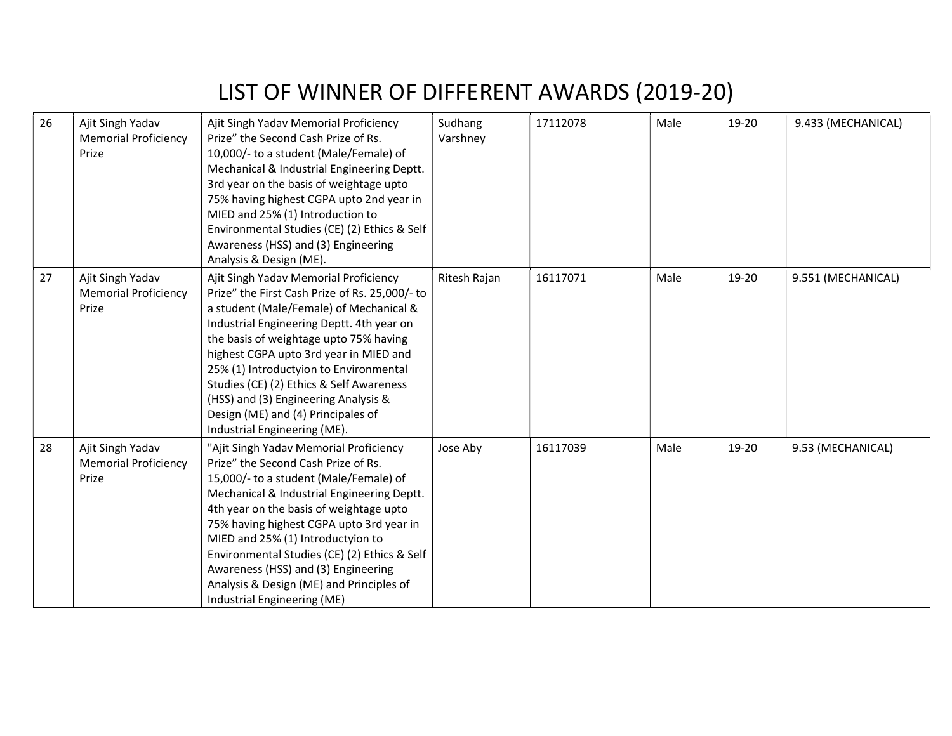| 26 | Ajit Singh Yadav<br><b>Memorial Proficiency</b><br>Prize | Ajit Singh Yadav Memorial Proficiency<br>Prize" the Second Cash Prize of Rs.<br>10,000/- to a student (Male/Female) of<br>Mechanical & Industrial Engineering Deptt.<br>3rd year on the basis of weightage upto<br>75% having highest CGPA upto 2nd year in<br>MIED and 25% (1) Introduction to<br>Environmental Studies (CE) (2) Ethics & Self<br>Awareness (HSS) and (3) Engineering<br>Analysis & Design (ME).                                                       | Sudhang<br>Varshney | 17112078 | Male | 19-20 | 9.433 (MECHANICAL) |
|----|----------------------------------------------------------|-------------------------------------------------------------------------------------------------------------------------------------------------------------------------------------------------------------------------------------------------------------------------------------------------------------------------------------------------------------------------------------------------------------------------------------------------------------------------|---------------------|----------|------|-------|--------------------|
| 27 | Ajit Singh Yadav<br><b>Memorial Proficiency</b><br>Prize | Ajit Singh Yadav Memorial Proficiency<br>Prize" the First Cash Prize of Rs. 25,000/- to<br>a student (Male/Female) of Mechanical &<br>Industrial Engineering Deptt. 4th year on<br>the basis of weightage upto 75% having<br>highest CGPA upto 3rd year in MIED and<br>25% (1) Introductyion to Environmental<br>Studies (CE) (2) Ethics & Self Awareness<br>(HSS) and (3) Engineering Analysis &<br>Design (ME) and (4) Principales of<br>Industrial Engineering (ME). | Ritesh Rajan        | 16117071 | Male | 19-20 | 9.551 (MECHANICAL) |
| 28 | Ajit Singh Yadav<br><b>Memorial Proficiency</b><br>Prize | "Ajit Singh Yadav Memorial Proficiency<br>Prize" the Second Cash Prize of Rs.<br>15,000/- to a student (Male/Female) of<br>Mechanical & Industrial Engineering Deptt.<br>4th year on the basis of weightage upto<br>75% having highest CGPA upto 3rd year in<br>MIED and 25% (1) Introductyion to<br>Environmental Studies (CE) (2) Ethics & Self<br>Awareness (HSS) and (3) Engineering<br>Analysis & Design (ME) and Principles of<br>Industrial Engineering (ME)     | Jose Aby            | 16117039 | Male | 19-20 | 9.53 (MECHANICAL)  |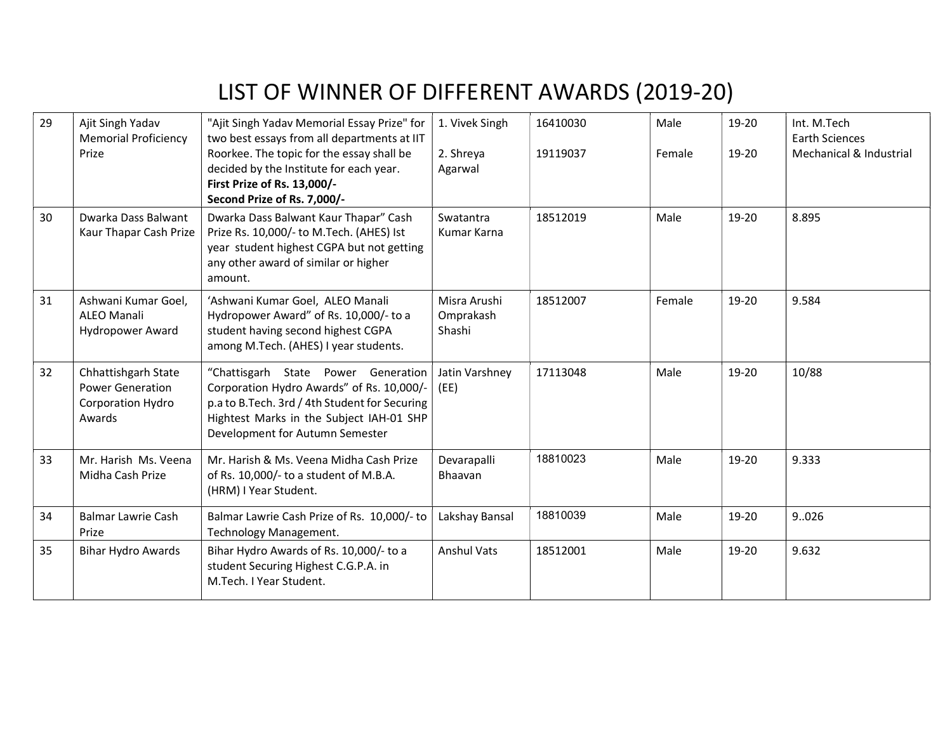| 29 | Ajit Singh Yadav<br><b>Memorial Proficiency</b><br>Prize                      | "Ajit Singh Yadav Memorial Essay Prize" for<br>two best essays from all departments at IIT<br>Roorkee. The topic for the essay shall be<br>decided by the Institute for each year.<br>First Prize of Rs. 13,000/-<br>Second Prize of Rs. 7,000/- | 1. Vivek Singh<br>2. Shreya<br>Agarwal | 16410030<br>19119037 | Male<br>Female | 19-20<br>19-20 | Int. M.Tech<br><b>Earth Sciences</b><br>Mechanical & Industrial |
|----|-------------------------------------------------------------------------------|--------------------------------------------------------------------------------------------------------------------------------------------------------------------------------------------------------------------------------------------------|----------------------------------------|----------------------|----------------|----------------|-----------------------------------------------------------------|
| 30 | Dwarka Dass Balwant<br>Kaur Thapar Cash Prize                                 | Dwarka Dass Balwant Kaur Thapar" Cash<br>Prize Rs. 10,000/- to M.Tech. (AHES) Ist<br>year student highest CGPA but not getting<br>any other award of similar or higher<br>amount.                                                                | Swatantra<br>Kumar Karna               | 18512019             | Male           | 19-20          | 8.895                                                           |
| 31 | Ashwani Kumar Goel,<br><b>ALEO Manali</b><br><b>Hydropower Award</b>          | 'Ashwani Kumar Goel, ALEO Manali<br>Hydropower Award" of Rs. 10,000/- to a<br>student having second highest CGPA<br>among M.Tech. (AHES) I year students.                                                                                        | Misra Arushi<br>Omprakash<br>Shashi    | 18512007             | Female         | 19-20          | 9.584                                                           |
| 32 | Chhattishgarh State<br><b>Power Generation</b><br>Corporation Hydro<br>Awards | "Chattisgarh State Power Generation<br>Corporation Hydro Awards" of Rs. 10,000/-<br>p.a to B.Tech. 3rd / 4th Student for Securing<br>Hightest Marks in the Subject IAH-01 SHP<br>Development for Autumn Semester                                 | Jatin Varshney<br>(EE)                 | 17113048             | Male           | 19-20          | 10/88                                                           |
| 33 | Mr. Harish Ms. Veena<br>Midha Cash Prize                                      | Mr. Harish & Ms. Veena Midha Cash Prize<br>of Rs. 10,000/- to a student of M.B.A.<br>(HRM) I Year Student.                                                                                                                                       | Devarapalli<br>Bhaavan                 | 18810023             | Male           | 19-20          | 9.333                                                           |
| 34 | <b>Balmar Lawrie Cash</b><br>Prize                                            | Balmar Lawrie Cash Prize of Rs. 10,000/- to<br>Technology Management.                                                                                                                                                                            | Lakshay Bansal                         | 18810039             | Male           | 19-20          | 9.026                                                           |
| 35 | <b>Bihar Hydro Awards</b>                                                     | Bihar Hydro Awards of Rs. 10,000/- to a<br>student Securing Highest C.G.P.A. in<br>M.Tech. I Year Student.                                                                                                                                       | <b>Anshul Vats</b>                     | 18512001             | Male           | 19-20          | 9.632                                                           |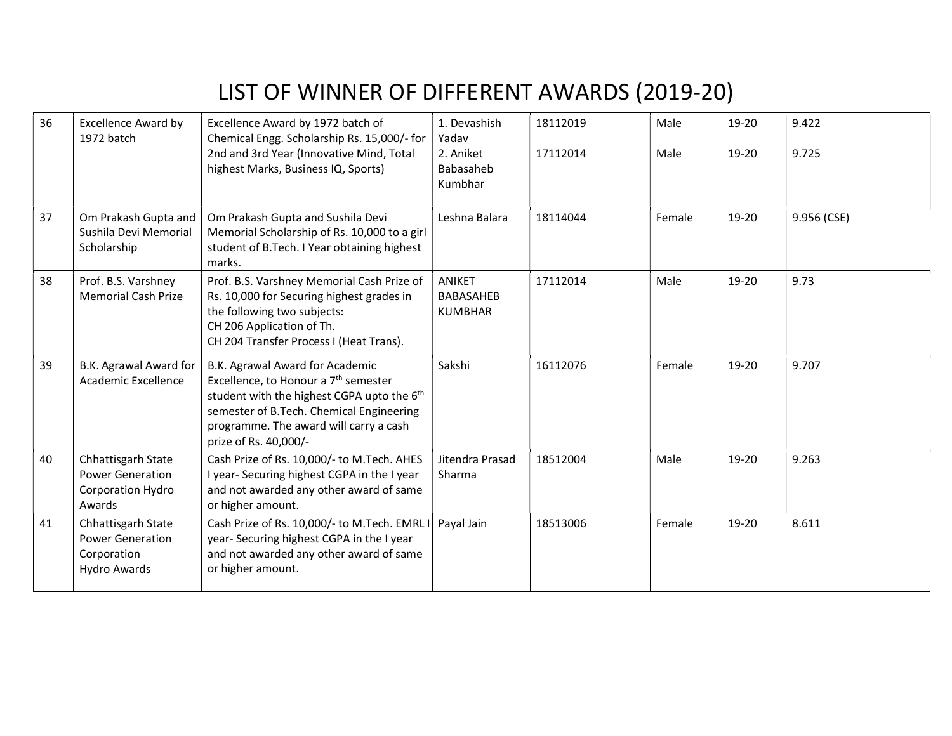| 36 | <b>Excellence Award by</b><br>1972 batch                                            | Excellence Award by 1972 batch of<br>Chemical Engg. Scholarship Rs. 15,000/- for<br>2nd and 3rd Year (Innovative Mind, Total<br>highest Marks, Business IQ, Sports)                                                                                          | 1. Devashish<br>Yadav<br>2. Aniket<br>Babasaheb<br>Kumbhar | 18112019<br>17112014 | Male<br>Male | 19-20<br>19-20 | 9.422<br>9.725 |
|----|-------------------------------------------------------------------------------------|--------------------------------------------------------------------------------------------------------------------------------------------------------------------------------------------------------------------------------------------------------------|------------------------------------------------------------|----------------------|--------------|----------------|----------------|
| 37 | Om Prakash Gupta and<br>Sushila Devi Memorial<br>Scholarship                        | Om Prakash Gupta and Sushila Devi<br>Memorial Scholarship of Rs. 10,000 to a girl<br>student of B.Tech. I Year obtaining highest<br>marks.                                                                                                                   | Leshna Balara                                              | 18114044             | Female       | 19-20          | 9.956 (CSE)    |
| 38 | Prof. B.S. Varshney<br><b>Memorial Cash Prize</b>                                   | Prof. B.S. Varshney Memorial Cash Prize of<br>Rs. 10,000 for Securing highest grades in<br>the following two subjects:<br>CH 206 Application of Th.<br>CH 204 Transfer Process I (Heat Trans).                                                               | <b>ANIKET</b><br><b>BABASAHEB</b><br><b>KUMBHAR</b>        | 17112014             | Male         | 19-20          | 9.73           |
| 39 | B.K. Agrawal Award for<br>Academic Excellence                                       | B.K. Agrawal Award for Academic<br>Excellence, to Honour a 7 <sup>th</sup> semester<br>student with the highest CGPA upto the 6 <sup>th</sup><br>semester of B.Tech. Chemical Engineering<br>programme. The award will carry a cash<br>prize of Rs. 40,000/- | Sakshi                                                     | 16112076             | Female       | 19-20          | 9.707          |
| 40 | Chhattisgarh State<br><b>Power Generation</b><br><b>Corporation Hydro</b><br>Awards | Cash Prize of Rs. 10,000/- to M.Tech. AHES<br>I year- Securing highest CGPA in the I year<br>and not awarded any other award of same<br>or higher amount.                                                                                                    | Jitendra Prasad<br>Sharma                                  | 18512004             | Male         | 19-20          | 9.263          |
| 41 | Chhattisgarh State<br><b>Power Generation</b><br>Corporation<br><b>Hydro Awards</b> | Cash Prize of Rs. 10,000/- to M.Tech. EMRL<br>year-Securing highest CGPA in the I year<br>and not awarded any other award of same<br>or higher amount.                                                                                                       | Payal Jain                                                 | 18513006             | Female       | 19-20          | 8.611          |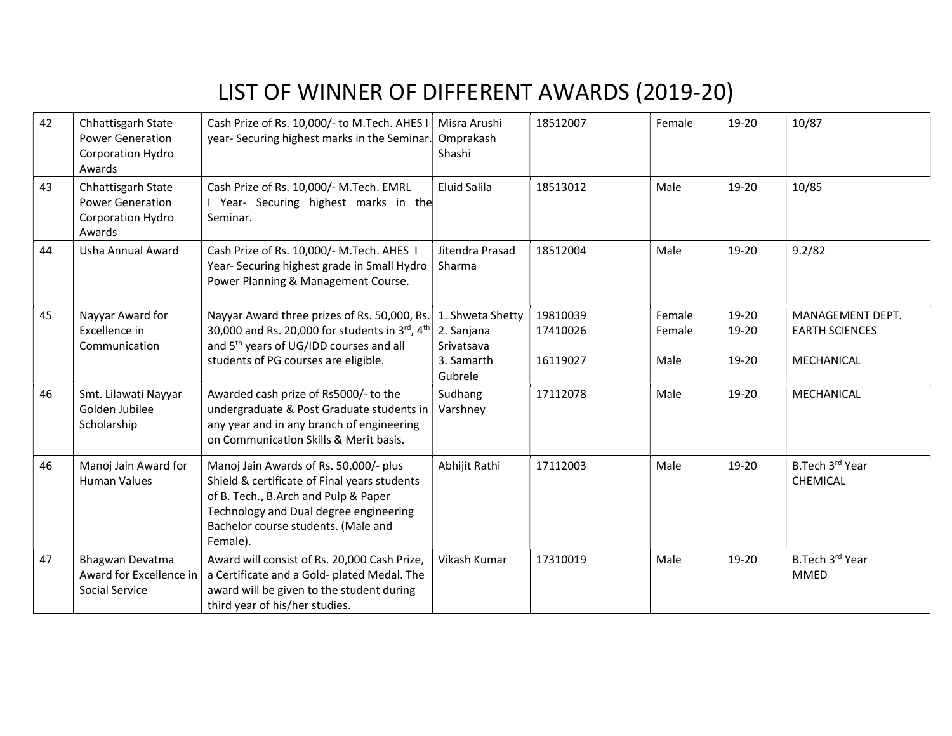| 42 | Chhattisgarh State<br><b>Power Generation</b><br>Corporation Hydro<br>Awards | Cash Prize of Rs. 10,000/- to M.Tech. AHES I<br>year-Securing highest marks in the Seminar.                                                                                                                                 | Misra Arushi<br>Omprakash<br>Shashi                                   | 18512007                         | Female                   | 19-20                   | 10/87                                                   |
|----|------------------------------------------------------------------------------|-----------------------------------------------------------------------------------------------------------------------------------------------------------------------------------------------------------------------------|-----------------------------------------------------------------------|----------------------------------|--------------------------|-------------------------|---------------------------------------------------------|
| 43 | Chhattisgarh State<br><b>Power Generation</b><br>Corporation Hydro<br>Awards | Cash Prize of Rs. 10,000/- M.Tech. EMRL<br>I Year- Securing highest marks in the<br>Seminar.                                                                                                                                | Eluid Salila                                                          | 18513012                         | Male                     | 19-20                   | 10/85                                                   |
| 44 | Usha Annual Award                                                            | Cash Prize of Rs. 10,000/- M.Tech. AHES I<br>Year-Securing highest grade in Small Hydro<br>Power Planning & Management Course.                                                                                              | Jitendra Prasad<br>Sharma                                             | 18512004                         | Male                     | 19-20                   | 9.2/82                                                  |
| 45 | Nayyar Award for<br>Excellence in<br>Communication                           | Nayyar Award three prizes of Rs. 50,000, Rs.<br>30,000 and Rs. 20,000 for students in 3rd, 4th<br>and 5 <sup>th</sup> years of UG/IDD courses and all<br>students of PG courses are eligible.                               | 1. Shweta Shetty<br>2. Sanjana<br>Srivatsava<br>3. Samarth<br>Gubrele | 19810039<br>17410026<br>16119027 | Female<br>Female<br>Male | 19-20<br>19-20<br>19-20 | MANAGEMENT DEPT.<br><b>EARTH SCIENCES</b><br>MECHANICAL |
| 46 | Smt. Lilawati Nayyar<br>Golden Jubilee<br>Scholarship                        | Awarded cash prize of Rs5000/- to the<br>undergraduate & Post Graduate students in<br>any year and in any branch of engineering<br>on Communication Skills & Merit basis.                                                   | Sudhang<br>Varshney                                                   | 17112078                         | Male                     | 19-20                   | MECHANICAL                                              |
| 46 | Manoj Jain Award for<br><b>Human Values</b>                                  | Manoj Jain Awards of Rs. 50,000/- plus<br>Shield & certificate of Final years students<br>of B. Tech., B.Arch and Pulp & Paper<br>Technology and Dual degree engineering<br>Bachelor course students. (Male and<br>Female). | Abhijit Rathi                                                         | 17112003                         | Male                     | 19-20                   | B.Tech 3rd Year<br>CHEMICAL                             |
| 47 | Bhagwan Devatma<br>Award for Excellence in<br>Social Service                 | Award will consist of Rs. 20,000 Cash Prize,<br>a Certificate and a Gold- plated Medal. The<br>award will be given to the student during<br>third year of his/her studies.                                                  | Vikash Kumar                                                          | 17310019                         | Male                     | 19-20                   | B.Tech 3rd Year<br><b>MMED</b>                          |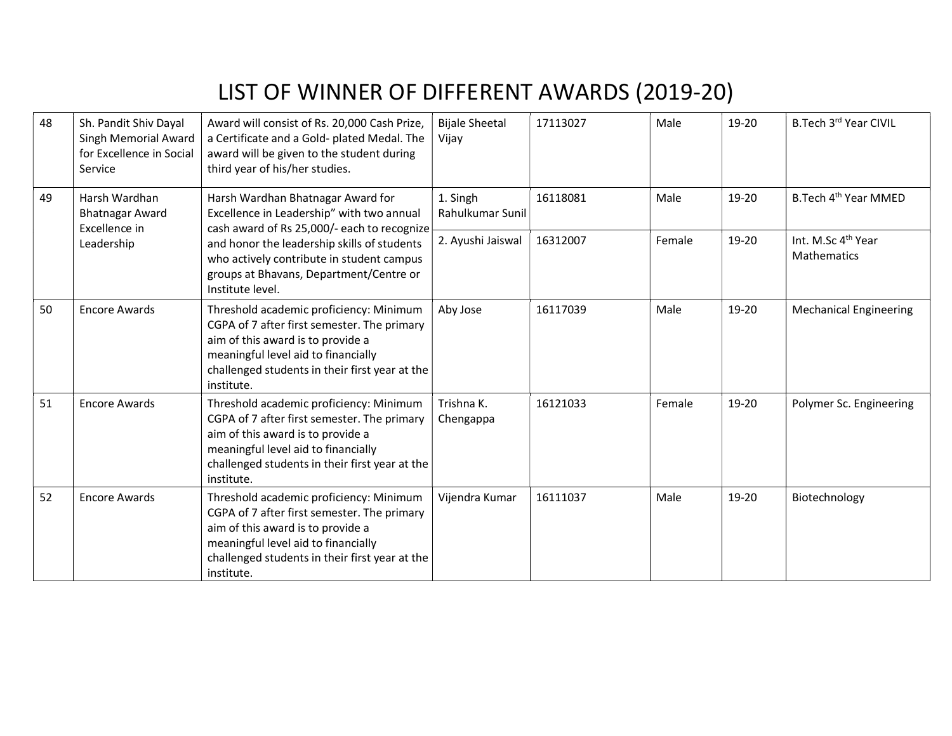| 48 | Sh. Pandit Shiv Dayal<br>Singh Memorial Award<br>for Excellence in Social<br>Service | Award will consist of Rs. 20,000 Cash Prize,<br>a Certificate and a Gold- plated Medal. The<br>award will be given to the student during<br>third year of his/her studies.                                                         | <b>Bijale Sheetal</b><br>Vijay | 17113027 | Male   | 19-20 | B.Tech 3rd Year CIVIL                         |
|----|--------------------------------------------------------------------------------------|------------------------------------------------------------------------------------------------------------------------------------------------------------------------------------------------------------------------------------|--------------------------------|----------|--------|-------|-----------------------------------------------|
| 49 | Harsh Wardhan<br><b>Bhatnagar Award</b>                                              | Harsh Wardhan Bhatnagar Award for<br>Excellence in Leadership" with two annual<br>cash award of Rs 25,000/- each to recognize<br>Excellence in                                                                                     | 1. Singh<br>Rahulkumar Sunil   | 16118081 | Male   | 19-20 | B. Tech 4 <sup>th</sup> Year MMED             |
|    | Leadership                                                                           | and honor the leadership skills of students<br>who actively contribute in student campus<br>groups at Bhavans, Department/Centre or<br>Institute level.                                                                            | 2. Ayushi Jaiswal              | 16312007 | Female | 19-20 | Int. M.Sc 4 <sup>th</sup> Year<br>Mathematics |
| 50 | <b>Encore Awards</b>                                                                 | Threshold academic proficiency: Minimum<br>CGPA of 7 after first semester. The primary<br>aim of this award is to provide a<br>meaningful level aid to financially<br>challenged students in their first year at the<br>institute. | Aby Jose                       | 16117039 | Male   | 19-20 | <b>Mechanical Engineering</b>                 |
| 51 | <b>Encore Awards</b>                                                                 | Threshold academic proficiency: Minimum<br>CGPA of 7 after first semester. The primary<br>aim of this award is to provide a<br>meaningful level aid to financially<br>challenged students in their first year at the<br>institute. | Trishna K.<br>Chengappa        | 16121033 | Female | 19-20 | Polymer Sc. Engineering                       |
| 52 | <b>Encore Awards</b>                                                                 | Threshold academic proficiency: Minimum<br>CGPA of 7 after first semester. The primary<br>aim of this award is to provide a<br>meaningful level aid to financially<br>challenged students in their first year at the<br>institute. | Vijendra Kumar                 | 16111037 | Male   | 19-20 | Biotechnology                                 |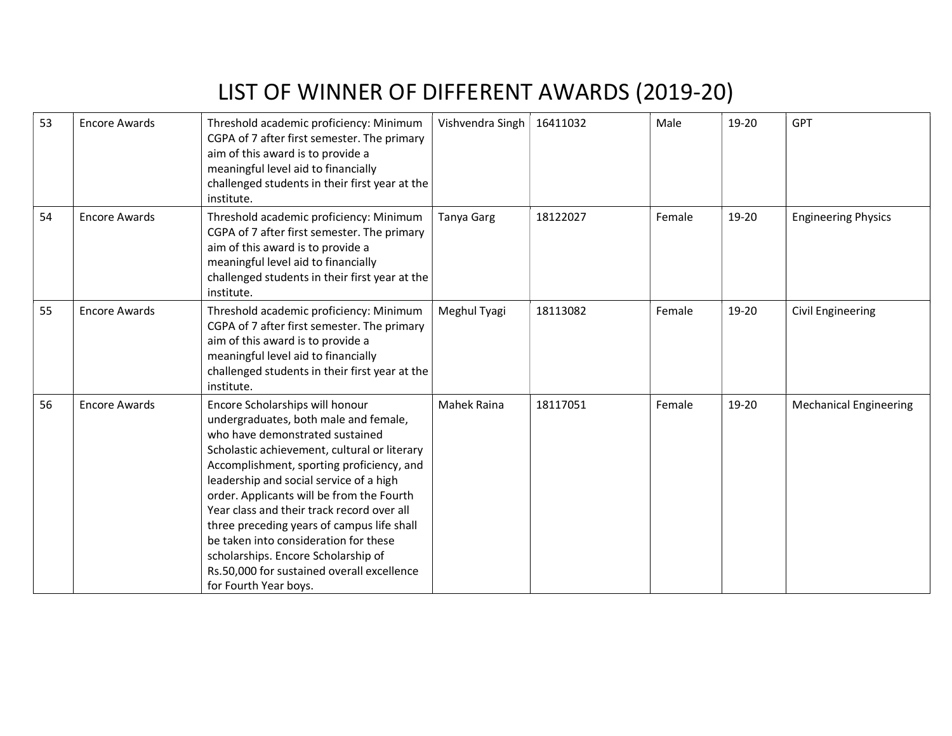| 53 | <b>Encore Awards</b> | Threshold academic proficiency: Minimum<br>CGPA of 7 after first semester. The primary<br>aim of this award is to provide a<br>meaningful level aid to financially<br>challenged students in their first year at the<br>institute.                                                                                                                                                                                                                                                                                                                  | Vishvendra Singh  | 16411032 | Male   | 19-20 | <b>GPT</b>                    |
|----|----------------------|-----------------------------------------------------------------------------------------------------------------------------------------------------------------------------------------------------------------------------------------------------------------------------------------------------------------------------------------------------------------------------------------------------------------------------------------------------------------------------------------------------------------------------------------------------|-------------------|----------|--------|-------|-------------------------------|
| 54 | <b>Encore Awards</b> | Threshold academic proficiency: Minimum<br>CGPA of 7 after first semester. The primary<br>aim of this award is to provide a<br>meaningful level aid to financially<br>challenged students in their first year at the<br>institute.                                                                                                                                                                                                                                                                                                                  | <b>Tanya Garg</b> | 18122027 | Female | 19-20 | <b>Engineering Physics</b>    |
| 55 | <b>Encore Awards</b> | Threshold academic proficiency: Minimum<br>CGPA of 7 after first semester. The primary<br>aim of this award is to provide a<br>meaningful level aid to financially<br>challenged students in their first year at the<br>institute.                                                                                                                                                                                                                                                                                                                  | Meghul Tyagi      | 18113082 | Female | 19-20 | <b>Civil Engineering</b>      |
| 56 | <b>Encore Awards</b> | Encore Scholarships will honour<br>undergraduates, both male and female,<br>who have demonstrated sustained<br>Scholastic achievement, cultural or literary<br>Accomplishment, sporting proficiency, and<br>leadership and social service of a high<br>order. Applicants will be from the Fourth<br>Year class and their track record over all<br>three preceding years of campus life shall<br>be taken into consideration for these<br>scholarships. Encore Scholarship of<br>Rs.50,000 for sustained overall excellence<br>for Fourth Year boys. | Mahek Raina       | 18117051 | Female | 19-20 | <b>Mechanical Engineering</b> |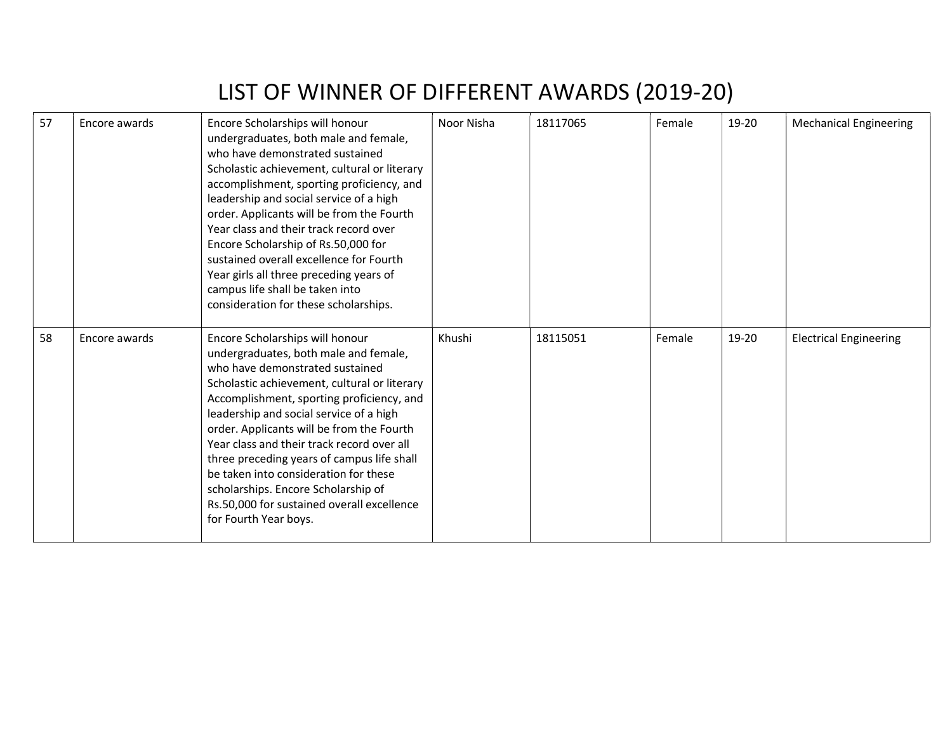| 57 | Encore awards | Encore Scholarships will honour<br>undergraduates, both male and female,<br>who have demonstrated sustained<br>Scholastic achievement, cultural or literary<br>accomplishment, sporting proficiency, and<br>leadership and social service of a high<br>order. Applicants will be from the Fourth<br>Year class and their track record over<br>Encore Scholarship of Rs.50,000 for<br>sustained overall excellence for Fourth<br>Year girls all three preceding years of<br>campus life shall be taken into<br>consideration for these scholarships. | Noor Nisha | 18117065 | Female | 19-20 | <b>Mechanical Engineering</b> |
|----|---------------|-----------------------------------------------------------------------------------------------------------------------------------------------------------------------------------------------------------------------------------------------------------------------------------------------------------------------------------------------------------------------------------------------------------------------------------------------------------------------------------------------------------------------------------------------------|------------|----------|--------|-------|-------------------------------|
| 58 | Encore awards | Encore Scholarships will honour<br>undergraduates, both male and female,<br>who have demonstrated sustained<br>Scholastic achievement, cultural or literary<br>Accomplishment, sporting proficiency, and<br>leadership and social service of a high<br>order. Applicants will be from the Fourth<br>Year class and their track record over all<br>three preceding years of campus life shall<br>be taken into consideration for these<br>scholarships. Encore Scholarship of<br>Rs.50,000 for sustained overall excellence<br>for Fourth Year boys. | Khushi     | 18115051 | Female | 19-20 | <b>Electrical Engineering</b> |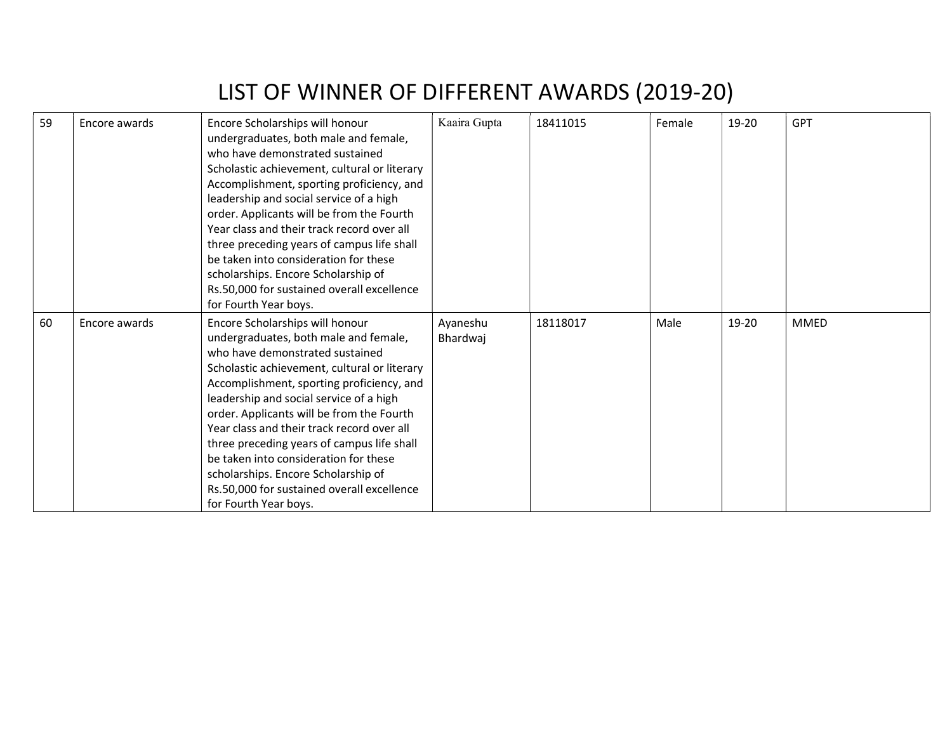| 59 | Encore awards | Encore Scholarships will honour<br>undergraduates, both male and female,<br>who have demonstrated sustained<br>Scholastic achievement, cultural or literary<br>Accomplishment, sporting proficiency, and<br>leadership and social service of a high<br>order. Applicants will be from the Fourth<br>Year class and their track record over all<br>three preceding years of campus life shall<br>be taken into consideration for these<br>scholarships. Encore Scholarship of                                                                        | Kaaira Gupta         | 18411015 | Female | 19-20 | <b>GPT</b>  |
|----|---------------|-----------------------------------------------------------------------------------------------------------------------------------------------------------------------------------------------------------------------------------------------------------------------------------------------------------------------------------------------------------------------------------------------------------------------------------------------------------------------------------------------------------------------------------------------------|----------------------|----------|--------|-------|-------------|
|    |               | Rs.50,000 for sustained overall excellence<br>for Fourth Year boys.                                                                                                                                                                                                                                                                                                                                                                                                                                                                                 |                      |          |        |       |             |
| 60 | Encore awards | Encore Scholarships will honour<br>undergraduates, both male and female,<br>who have demonstrated sustained<br>Scholastic achievement, cultural or literary<br>Accomplishment, sporting proficiency, and<br>leadership and social service of a high<br>order. Applicants will be from the Fourth<br>Year class and their track record over all<br>three preceding years of campus life shall<br>be taken into consideration for these<br>scholarships. Encore Scholarship of<br>Rs.50,000 for sustained overall excellence<br>for Fourth Year boys. | Ayaneshu<br>Bhardwaj | 18118017 | Male   | 19-20 | <b>MMED</b> |